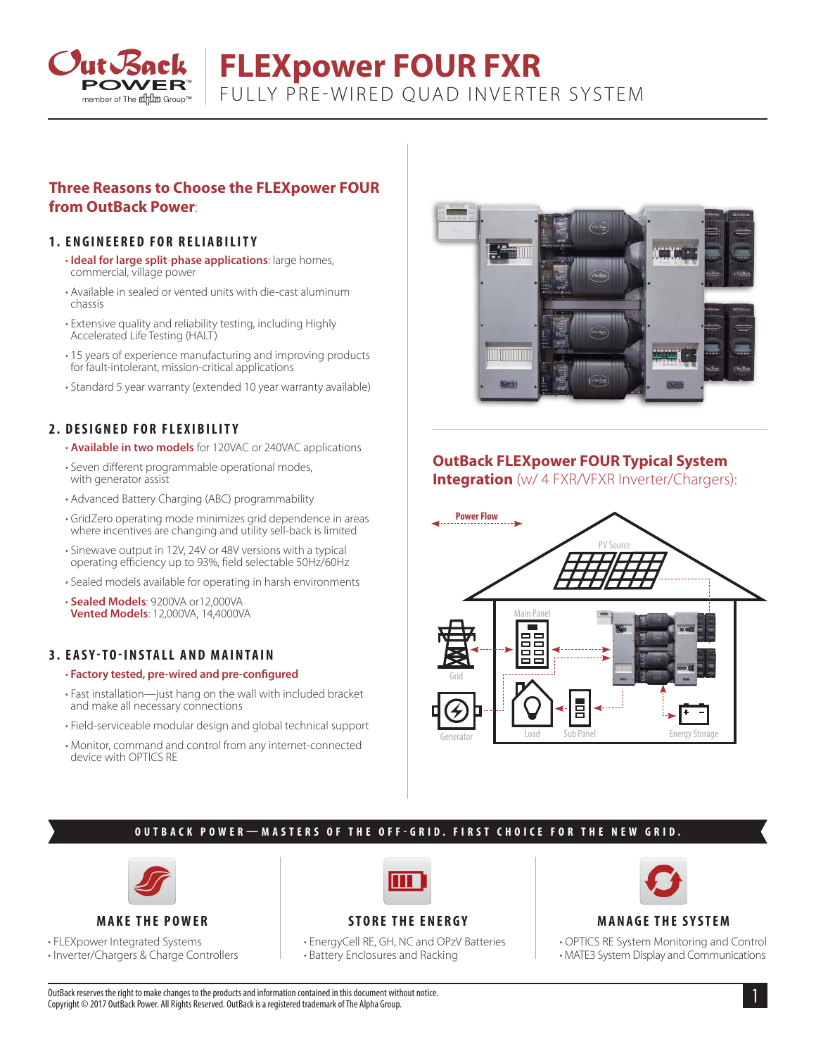

# **FLEXpower FOUR FXR** FULLY PRE-WIRED QUAD INVERTER SYSTEM

## **Three Reasons to Choose the FLEXpower FOUR from OutBack Power**:

#### **1. ENGINEERED FOR RELIABILITY**

- **Ideal for large split**-**phase applications**: large homes, commercial, village power
- Available in sealed or vented units with die-cast aluminum chassis
- Extensive quality and reliability testing, including Highly Accelerated Life Testing (HALT)
- 15 years of experience manufacturing and improving products for fault-intolerant, mission-critical applications
- Standard 5 year warranty (extended 10 year warranty available)

#### **2. DESIGNED FOR FLEXIBILITY**

- **Available in two models** for 120VAC or 240VAC applications
- Seven different programmable operational modes, with generator assist
- Advanced Battery Charging (ABC) programmability
- GridZero operating mode minimizes grid dependence in areas where incentives are changing and utility sell-back is limited
- Sinewave output in 12V, 24V or 48V versions with a typical operating efficiency up to 93%, field selectable 50Hz/60Hz
- Sealed models available for operating in harsh environments

• **Sealed Models**: 9200VA or12,000VA **Vented Models**: 12,000VA, 14,4000VA

## **3 . EASY-TO-INSTALL AND MAINTAIN**

#### • **Factory tested, pre-wired and pre-configured**

- Fast installation—just hang on the wall with included bracket and make all necessary connections
- Field-serviceable modular design and global technical support
- Monitor, command and control from any internet-connected device with OPTICS RE



## **OutBack FLEXpower FOUR Typical System**

**Integration** (w/ 4 FXR/VFXR Inverter/Chargers):



#### **OUTBACK POWER—MASTERS OF THE OFF-GRID. FIRST CHOICE FOR THE NEW GRID.**



**MAKE THE POWER**

• FLEXpower Integrated Systems

• Inverter/Chargers & Charge Controllers



## **STORE THE ENERGY**

• EnergyCell RE, GH, NC and OPzV Batteries • Battery Enclosures and Racking



#### **MANAGE THE SYSTEM**

• OPTICS RE System Monitoring and Control • MATE3 System Display and Communications

OutBack reserves the right to make changes to the products and information contained in this document without notice. Copyright © 2017 OutBack Power. All Rights Reserved. OutBack is a registered trademark of The Alpha Group.